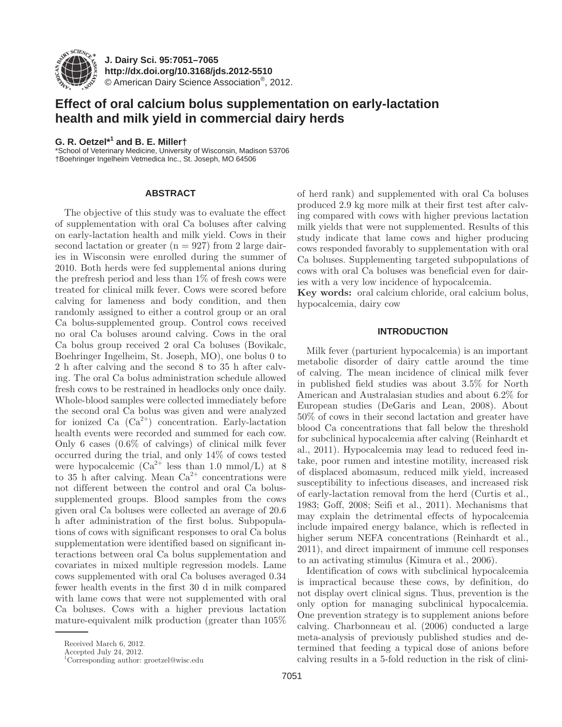

**J. Dairy Sci. 95 :7051–7065 http://dx.doi.org/ 10.3168/jds.2012-5510**  © American Dairy Science Association®, 2012 .

# **Effect of oral calcium bolus supplementation on early-lactation health and milk yield in commercial dairy herds**

# **G. R. Oetzel \*<sup>1</sup> and B. E. Miller †**

\* School of Veterinary Medicine, University of Wisconsin, Madison 53706 † Boehringer Ingelheim Vetmedica Inc., St. Joseph, MO 64506

# **ABSTRACT**

The objective of this study was to evaluate the effect of supplementation with oral Ca boluses after calving on early-lactation health and milk yield. Cows in their second lactation or greater  $(n = 927)$  from 2 large dairies in Wisconsin were enrolled during the summer of 2010. Both herds were fed supplemental anions during the prefresh period and less than 1% of fresh cows were treated for clinical milk fever. Cows were scored before calving for lameness and body condition, and then randomly assigned to either a control group or an oral Ca bolus-supplemented group. Control cows received no oral Ca boluses around calving. Cows in the oral Ca bolus group received 2 oral Ca boluses (Bovikalc, Boehringer Ingelheim, St. Joseph, MO), one bolus 0 to 2 h after calving and the second 8 to 35 h after calving. The oral Ca bolus administration schedule allowed fresh cows to be restrained in headlocks only once daily. Whole-blood samples were collected immediately before the second oral Ca bolus was given and were analyzed for ionized Ca  $(Ca^{2+})$  concentration. Early-lactation health events were recorded and summed for each cow. Only 6 cases (0.6% of calvings) of clinical milk fever occurred during the trial, and only 14% of cows tested were hypocalcemic  $(Ca^{2+}$  less than 1.0 mmol/L) at 8 to 35 h after calving. Mean  $Ca^{2+}$  concentrations were not different between the control and oral Ca bolussupplemented groups. Blood samples from the cows given oral Ca boluses were collected an average of 20.6 h after administration of the first bolus. Subpopulations of cows with significant responses to oral Ca bolus supplementation were identified based on significant interactions between oral Ca bolus supplementation and covariates in mixed multiple regression models. Lame cows supplemented with oral Ca boluses averaged 0.34 fewer health events in the first 30 d in milk compared with lame cows that were not supplemented with oral Ca boluses. Cows with a higher previous lactation mature-equivalent milk production (greater than 105%

of herd rank) and supplemented with oral Ca boluses produced 2.9 kg more milk at their first test after calving compared with cows with higher previous lactation milk yields that were not supplemented. Results of this study indicate that lame cows and higher producing cows responded favorably to supplementation with oral Ca boluses. Supplementing targeted subpopulations of cows with oral Ca boluses was beneficial even for dairies with a very low incidence of hypocalcemia.

Key words: oral calcium chloride, oral calcium bolus, hypocalcemia, dairy cow

### **INTRODUCTION**

Milk fever (parturient hypocalcemia) is an important metabolic disorder of dairy cattle around the time of calving. The mean incidence of clinical milk fever in published field studies was about 3.5% for North American and Australasian studies and about 6.2% for European studies (DeGaris and Lean, 2008). About 50% of cows in their second lactation and greater have blood Ca concentrations that fall below the threshold for subclinical hypocalcemia after calving (Reinhardt et al., 2011). Hypocalcemia may lead to reduced feed intake, poor rumen and intestine motility, increased risk of displaced abomasum, reduced milk yield, increased susceptibility to infectious diseases, and increased risk of early-lactation removal from the herd (Curtis et al., 1983; Goff, 2008; Seifi et al., 2011). Mechanisms that may explain the detrimental effects of hypocalcemia include impaired energy balance, which is reflected in higher serum NEFA concentrations (Reinhardt et al., 2011), and direct impairment of immune cell responses to an activating stimulus (Kimura et al., 2006).

Identification of cows with subclinical hypocalcemia is impractical because these cows, by definition, do not display overt clinical signs. Thus, prevention is the only option for managing subclinical hypocalcemia. One prevention strategy is to supplement anions before calving. Charbonneau et al. (2006) conducted a large meta-analysis of previously published studies and determined that feeding a typical dose of anions before calving results in a 5-fold reduction in the risk of clini-

Received March 6, 2012.

Accepted July 24, 2012.

 <sup>1</sup> Corresponding author: groetzel@wisc.edu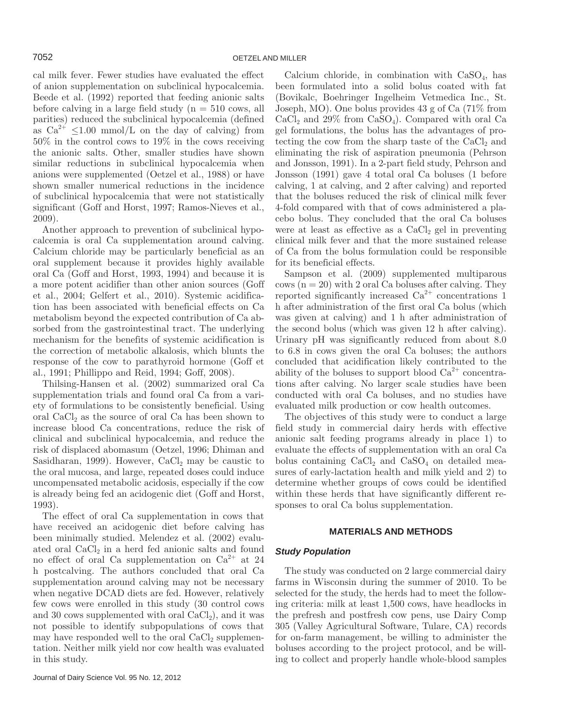cal milk fever. Fewer studies have evaluated the effect of anion supplementation on subclinical hypocalcemia. Beede et al. (1992) reported that feeding anionic salts before calving in a large field study  $(n = 510 \text{ cows}, \text{all})$ parities) reduced the subclinical hypocalcemia (defined as  $Ca^{2+} \leq 1.00$  mmol/L on the day of calving) from 50% in the control cows to 19% in the cows receiving the anionic salts. Other, smaller studies have shown similar reductions in subclinical hypocalcemia when anions were supplemented (Oetzel et al., 1988) or have shown smaller numerical reductions in the incidence of subclinical hypocalcemia that were not statistically significant (Goff and Horst, 1997; Ramos-Nieves et al., 2009).

Another approach to prevention of subclinical hypocalcemia is oral Ca supplementation around calving. Calcium chloride may be particularly beneficial as an oral supplement because it provides highly available oral Ca (Goff and Horst, 1993, 1994) and because it is a more potent acidifier than other anion sources (Goff et al., 2004; Gelfert et al., 2010). Systemic acidification has been associated with beneficial effects on Ca metabolism beyond the expected contribution of Ca absorbed from the gastrointestinal tract. The underlying mechanism for the benefits of systemic acidification is the correction of metabolic alkalosis, which blunts the response of the cow to parathyroid hormone (Goff et al., 1991; Phillippo and Reid, 1994; Goff, 2008).

Thilsing-Hansen et al. (2002) summarized oral Ca supplementation trials and found oral Ca from a variety of formulations to be consistently beneficial. Using oral  $CaCl<sub>2</sub>$  as the source of oral Ca has been shown to increase blood Ca concentrations, reduce the risk of clinical and subclinical hypocalcemia, and reduce the risk of displaced abomasum (Oetzel, 1996; Dhiman and Sasidharan, 1999). However,  $CaCl<sub>2</sub>$  may be caustic to the oral mucosa, and large, repeated doses could induce uncompensated metabolic acidosis, especially if the cow is already being fed an acidogenic diet (Goff and Horst, 1993).

The effect of oral Ca supplementation in cows that have received an acidogenic diet before calving has been minimally studied. Melendez et al. (2002) evaluated oral  $CaCl<sub>2</sub>$  in a herd fed anionic salts and found no effect of oral Ca supplementation on  $Ca^{2+}$  at 24 h postcalving. The authors concluded that oral Ca supplementation around calving may not be necessary when negative DCAD diets are fed. However, relatively few cows were enrolled in this study (30 control cows and 30 cows supplemented with oral  $CaCl<sub>2</sub>$ ), and it was not possible to identify subpopulations of cows that may have responded well to the oral  $CaCl<sub>2</sub>$  supplementation. Neither milk yield nor cow health was evaluated in this study.

Calcium chloride, in combination with  $CaSO<sub>4</sub>$ , has been formulated into a solid bolus coated with fat (Bovikalc, Boehringer Ingelheim Vetmedica Inc., St. Joseph, MO). One bolus provides 43 g of Ca (71% from  $CaCl<sub>2</sub>$  and 29% from  $CaSO<sub>4</sub>$ ). Compared with oral Ca gel formulations, the bolus has the advantages of protecting the cow from the sharp taste of the  $CaCl<sub>2</sub>$  and eliminating the risk of aspiration pneumonia (Pehrson and Jonsson, 1991). In a 2-part field study, Pehrson and Jonsson (1991) gave 4 total oral Ca boluses (1 before calving, 1 at calving, and 2 after calving) and reported that the boluses reduced the risk of clinical milk fever 4-fold compared with that of cows administered a placebo bolus. They concluded that the oral Ca boluses were at least as effective as a  $CaCl<sub>2</sub>$  gel in preventing clinical milk fever and that the more sustained release of Ca from the bolus formulation could be responsible for its beneficial effects.

Sampson et al. (2009) supplemented multiparous  $rows (n = 20)$  with 2 oral Ca boluses after calving. They reported significantly increased  $Ca^{2+}$  concentrations 1 h after administration of the first oral Ca bolus (which was given at calving) and 1 h after administration of the second bolus (which was given 12 h after calving). Urinary pH was significantly reduced from about 8.0 to 6.8 in cows given the oral Ca boluses; the authors concluded that acidification likely contributed to the ability of the boluses to support blood  $Ca^{2+}$  concentrations after calving. No larger scale studies have been conducted with oral Ca boluses, and no studies have evaluated milk production or cow health outcomes.

The objectives of this study were to conduct a large field study in commercial dairy herds with effective anionic salt feeding programs already in place 1) to evaluate the effects of supplementation with an oral Ca bolus containing  $CaCl<sub>2</sub>$  and  $CaSO<sub>4</sub>$  on detailed measures of early-lactation health and milk yield and 2) to determine whether groups of cows could be identified within these herds that have significantly different responses to oral Ca bolus supplementation.

# **MATERIALS AND METHODS**

#### *Study Population*

The study was conducted on 2 large commercial dairy farms in Wisconsin during the summer of 2010. To be selected for the study, the herds had to meet the following criteria: milk at least 1,500 cows, have headlocks in the prefresh and postfresh cow pens, use Dairy Comp 305 (Valley Agricultural Software, Tulare, CA) records for on-farm management, be willing to administer the boluses according to the project protocol, and be willing to collect and properly handle whole-blood samples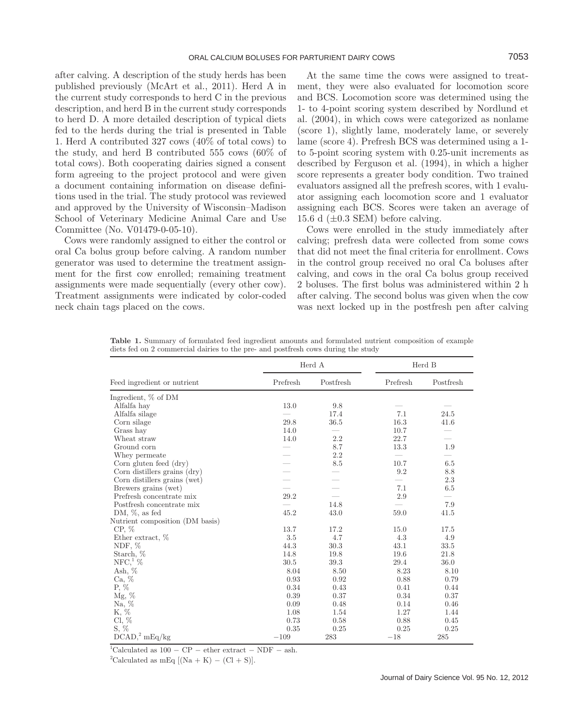after calving. A description of the study herds has been published previously (McArt et al., 2011). Herd A in the current study corresponds to herd C in the previous description, and herd B in the current study corresponds to herd D. A more detailed description of typical diets fed to the herds during the trial is presented in Table 1. Herd A contributed 327 cows (40% of total cows) to the study, and herd B contributed 555 cows (60% of total cows). Both cooperating dairies signed a consent form agreeing to the project protocol and were given a document containing information on disease definitions used in the trial. The study protocol was reviewed and approved by the University of Wisconsin–Madison School of Veterinary Medicine Animal Care and Use Committee (No. V01479-0-05-10).

Cows were randomly assigned to either the control or oral Ca bolus group before calving. A random number generator was used to determine the treatment assignment for the first cow enrolled; remaining treatment assignments were made sequentially (every other cow). Treatment assignments were indicated by color-coded neck chain tags placed on the cows.

At the same time the cows were assigned to treatment, they were also evaluated for locomotion score and BCS. Locomotion score was determined using the 1- to 4-point scoring system described by Nordlund et al. (2004), in which cows were categorized as nonlame (score 1), slightly lame, moderately lame, or severely lame (score 4). Prefresh BCS was determined using a 1 to 5-point scoring system with 0.25-unit increments as described by Ferguson et al. (1994), in which a higher score represents a greater body condition. Two trained evaluators assigned all the prefresh scores, with 1 evaluator assigning each locomotion score and 1 evaluator assigning each BCS. Scores were taken an average of 15.6 d  $(\pm 0.3$  SEM) before calving.

Cows were enrolled in the study immediately after calving; prefresh data were collected from some cows that did not meet the final criteria for enrollment. Cows in the control group received no oral Ca boluses after calving, and cows in the oral Ca bolus group received 2 boluses. The first bolus was administered within 2 h after calving. The second bolus was given when the cow was next locked up in the postfresh pen after calving

**Table 1.** Summary of formulated feed ingredient amounts and formulated nutrient composition of example diets fed on 2 commercial dairies to the pre- and postfresh cows during the study

|                                 |          | Herd A    |          | Herd B    |
|---------------------------------|----------|-----------|----------|-----------|
| Feed ingredient or nutrient     | Prefresh | Postfresh | Prefresh | Postfresh |
| Ingredient, % of DM             |          |           |          |           |
| Alfalfa hay                     | 13.0     | 9.8       |          |           |
| Alfalfa silage                  |          | 17.4      | 7.1      | 24.5      |
| Corn silage                     | 29.8     | 36.5      | 16.3     | 41.6      |
| Grass hay                       | 14.0     |           | 10.7     |           |
| Wheat straw                     | 14.0     | 2.2       | 22.7     |           |
| Ground corn                     |          | 8.7       | 13.3     | 1.9       |
| Whey permeate                   |          | 2.2       |          |           |
| Corn gluten feed (dry)          |          | 8.5       | 10.7     | 6.5       |
| Corn distillers grains (dry)    |          |           | 9.2      | 8.8       |
| Corn distillers grains (wet)    |          |           |          | 2.3       |
| Brewers grains (wet)            |          |           | 7.1      | 6.5       |
| Prefresh concentrate mix        | 29.2     |           | 2.9      |           |
| Postfresh concentrate mix       |          | 14.8      |          | 7.9       |
| DM, $\%$ , as fed               | 45.2     | 43.0      | 59.0     | 41.5      |
| Nutrient composition (DM basis) |          |           |          |           |
| $CP, \%$                        | 13.7     | 17.2      | 15.0     | 17.5      |
| Ether extract, %                | 3.5      | 4.7       | 4.3      | 4.9       |
| NDF, $%$                        | 44.3     | 30.3      | 43.1     | 33.5      |
| Starch, %                       | 14.8     | 19.8      | 19.6     | 21.8      |
| $NFC1$ %                        | 30.5     | 39.3      | 29.4     | 36.0      |
| Ash, $%$                        | 8.04     | 8.50      | 8.23     | 8.10      |
| Ca, %                           | 0.93     | 0.92      | 0.88     | 0.79      |
| P, %                            | 0.34     | 0.43      | 0.41     | 0.44      |
| Mg, %                           | 0.39     | 0.37      | 0.34     | 0.37      |
| Na, %                           | 0.09     | 0.48      | 0.14     | 0.46      |
| K, %                            | 1.08     | 1.54      | 1.27     | 1.44      |
| $Cl, \%$                        | 0.73     | 0.58      | 0.88     | 0.45      |
| $S, \%$                         | 0.35     | 0.25      | 0.25     | 0.25      |
| DCAD, 2 mEq/kg                  | $-109$   | 283       | $-18$    | 285       |

<sup>1</sup>Calculated as  $100 - CP -$  ether extract – NDF – ash.

<sup>2</sup>Calculated as mEq  $[(Na + K) - (Cl + S)].$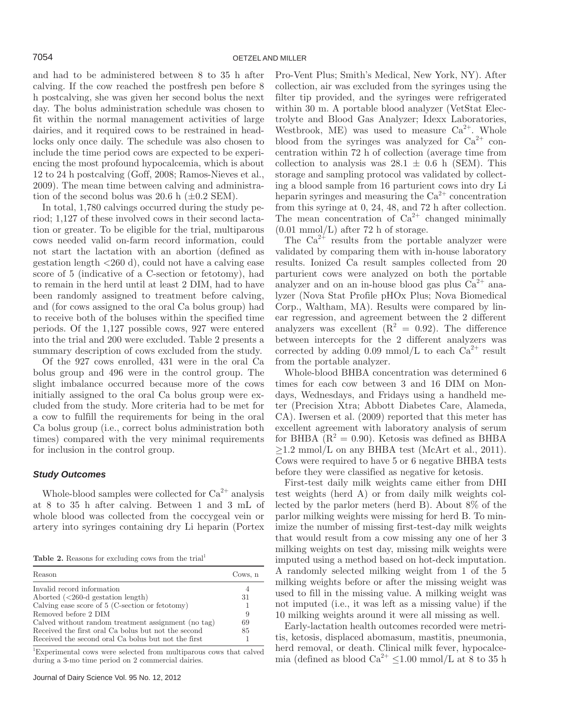and had to be administered between 8 to 35 h after calving. If the cow reached the postfresh pen before 8 h postcalving, she was given her second bolus the next day. The bolus administration schedule was chosen to fit within the normal management activities of large dairies, and it required cows to be restrained in headlocks only once daily. The schedule was also chosen to include the time period cows are expected to be experiencing the most profound hypocalcemia, which is about 12 to 24 h postcalving (Goff, 2008; Ramos-Nieves et al., 2009). The mean time between calving and administration of the second bolus was 20.6 h  $(\pm 0.2 \text{ SEM})$ .

In total, 1,780 calvings occurred during the study period; 1,127 of these involved cows in their second lactation or greater. To be eligible for the trial, multiparous cows needed valid on-farm record information, could not start the lactation with an abortion (defined as gestation length <260 d), could not have a calving ease score of 5 (indicative of a C-section or fetotomy), had to remain in the herd until at least 2 DIM, had to have been randomly assigned to treatment before calving, and (for cows assigned to the oral Ca bolus group) had to receive both of the boluses within the specified time periods. Of the 1,127 possible cows, 927 were entered into the trial and 200 were excluded. Table 2 presents a summary description of cows excluded from the study.

Of the 927 cows enrolled, 431 were in the oral Ca bolus group and 496 were in the control group. The slight imbalance occurred because more of the cows initially assigned to the oral Ca bolus group were excluded from the study. More criteria had to be met for a cow to fulfill the requirements for being in the oral Ca bolus group (i.e., correct bolus administration both times) compared with the very minimal requirements for inclusion in the control group.

# *Study Outcomes*

Whole-blood samples were collected for  $Ca^{2+}$  analysis at 8 to 35 h after calving. Between 1 and 3 mL of whole blood was collected from the coccygeal vein or artery into syringes containing dry Li heparin (Portex

**Table 2.** Reasons for excluding cows from the trial<sup>1</sup>

| Reason                                              | Cows. n |
|-----------------------------------------------------|---------|
| Invalid record information                          |         |
| Aborted $\left( < 260$ -d gestation length)         | 31      |
| Calving ease score of $5$ (C-section or fetotomy)   |         |
| Removed before 2 DIM                                | 9       |
| Calved without random treatment assignment (no tag) | 69      |
| Received the first oral Ca bolus but not the second | 85      |
| Received the second oral Ca bolus but not the first |         |

1 Experimental cows were selected from multiparous cows that calved during a 3-mo time period on 2 commercial dairies.

Journal of Dairy Science Vol. 95 No. 12, 2012

Pro-Vent Plus; Smith's Medical, New York, NY). After collection, air was excluded from the syringes using the filter tip provided, and the syringes were refrigerated within 30 m. A portable blood analyzer (VetStat Electrolyte and Blood Gas Analyzer; Idexx Laboratories, Westbrook, ME) was used to measure  $Ca^{2+}$ . Whole blood from the syringes was analyzed for  $Ca^{2+}$  concentration within 72 h of collection (average time from collection to analysis was  $28.1 \pm 0.6$  h (SEM). This storage and sampling protocol was validated by collecting a blood sample from 16 parturient cows into dry Li heparin syringes and measuring the  $Ca^{2+}$  concentration from this syringe at 0, 24, 48, and 72 h after collection. The mean concentration of  $Ca^{2+}$  changed minimally  $(0.01 \text{ mmol/L})$  after 72 h of storage.

The  $Ca^{2+}$  results from the portable analyzer were validated by comparing them with in-house laboratory results. Ionized Ca result samples collected from 20 parturient cows were analyzed on both the portable analyzer and on an in-house blood gas plus  $Ca^{2+}$  analyzer (Nova Stat Profile pHOx Plus; Nova Biomedical Corp., Waltham, MA). Results were compared by linear regression, and agreement between the 2 different analyzers was excellent  $(R^2 = 0.92)$ . The difference between intercepts for the 2 different analyzers was corrected by adding 0.09 mmol/L to each  $Ca^{2+}$  result from the portable analyzer.

Whole-blood BHBA concentration was determined 6 times for each cow between 3 and 16 DIM on Mondays, Wednesdays, and Fridays using a handheld meter (Precision Xtra; Abbott Diabetes Care, Alameda, CA). Iwersen et al. (2009) reported that this meter has excellent agreement with laboratory analysis of serum for BHBA  $(R^2 = 0.90)$ . Ketosis was defined as BHBA  $\geq$ 1.2 mmol/L on any BHBA test (McArt et al., 2011). Cows were required to have 5 or 6 negative BHBA tests before they were classified as negative for ketosis.

First-test daily milk weights came either from DHI test weights (herd A) or from daily milk weights collected by the parlor meters (herd B). About 8% of the parlor milking weights were missing for herd B. To minimize the number of missing first-test-day milk weights that would result from a cow missing any one of her 3 milking weights on test day, missing milk weights were imputed using a method based on hot-deck imputation. A randomly selected milking weight from 1 of the 5 milking weights before or after the missing weight was used to fill in the missing value. A milking weight was not imputed (i.e., it was left as a missing value) if the 10 milking weights around it were all missing as well.

Early-lactation health outcomes recorded were metritis, ketosis, displaced abomasum, mastitis, pneumonia, herd removal, or death. Clinical milk fever, hypocalcemia (defined as blood  $Ca^{2+}$  < 1.00 mmol/L at 8 to 35 h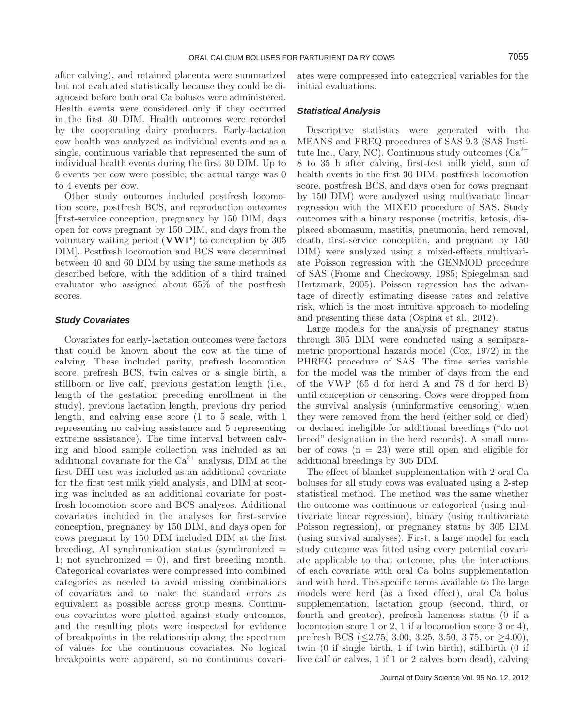after calving), and retained placenta were summarized but not evaluated statistically because they could be diagnosed before both oral Ca boluses were administered. Health events were considered only if they occurred in the first 30 DIM. Health outcomes were recorded by the cooperating dairy producers. Early-lactation cow health was analyzed as individual events and as a single, continuous variable that represented the sum of individual health events during the first 30 DIM. Up to 6 events per cow were possible; the actual range was 0 to 4 events per cow.

Other study outcomes included postfresh locomotion score, postfresh BCS, and reproduction outcomes [first-service conception, pregnancy by 150 DIM, days open for cows pregnant by 150 DIM, and days from the voluntary waiting period (**VWP**) to conception by 305 DIM]. Postfresh locomotion and BCS were determined between 40 and 60 DIM by using the same methods as described before, with the addition of a third trained evaluator who assigned about 65% of the postfresh scores.

### *Study Covariates*

Covariates for early-lactation outcomes were factors that could be known about the cow at the time of calving. These included parity, prefresh locomotion score, prefresh BCS, twin calves or a single birth, a stillborn or live calf, previous gestation length (i.e., length of the gestation preceding enrollment in the study), previous lactation length, previous dry period length, and calving ease score (1 to 5 scale, with 1 representing no calving assistance and 5 representing extreme assistance). The time interval between calving and blood sample collection was included as an additional covariate for the  $Ca^{2+}$  analysis, DIM at the first DHI test was included as an additional covariate for the first test milk yield analysis, and DIM at scoring was included as an additional covariate for postfresh locomotion score and BCS analyses. Additional covariates included in the analyses for first-service conception, pregnancy by 150 DIM, and days open for cows pregnant by 150 DIM included DIM at the first  $b$ reeding, AI synchronization status (synchronized  $=$ 1; not synchronized  $= 0$ , and first breeding month. Categorical covariates were compressed into combined categories as needed to avoid missing combinations of covariates and to make the standard errors as equivalent as possible across group means. Continuous covariates were plotted against study outcomes, and the resulting plots were inspected for evidence of breakpoints in the relationship along the spectrum of values for the continuous covariates. No logical breakpoints were apparent, so no continuous covariates were compressed into categorical variables for the initial evaluations.

### *Statistical Analysis*

Descriptive statistics were generated with the MEANS and FREQ procedures of SAS 9.3 (SAS Institute Inc., Cary, NC). Continuous study outcomes  $Ca^{2+}$ 8 to 35 h after calving, first-test milk yield, sum of health events in the first 30 DIM, postfresh locomotion score, postfresh BCS, and days open for cows pregnant by 150 DIM) were analyzed using multivariate linear regression with the MIXED procedure of SAS. Study outcomes with a binary response (metritis, ketosis, displaced abomasum, mastitis, pneumonia, herd removal, death, first-service conception, and pregnant by 150 DIM) were analyzed using a mixed-effects multivariate Poisson regression with the GENMOD procedure of SAS (Frome and Checkoway, 1985; Spiegelman and Hertzmark, 2005). Poisson regression has the advantage of directly estimating disease rates and relative risk, which is the most intuitive approach to modeling and presenting these data (Ospina et al., 2012).

Large models for the analysis of pregnancy status through 305 DIM were conducted using a semiparametric proportional hazards model (Cox, 1972) in the PHREG procedure of SAS. The time series variable for the model was the number of days from the end of the VWP (65 d for herd A and 78 d for herd B) until conception or censoring. Cows were dropped from the survival analysis (uninformative censoring) when they were removed from the herd (either sold or died) or declared ineligible for additional breedings ("do not breed" designation in the herd records). A small number of cows  $(n = 23)$  were still open and eligible for additional breedings by 305 DIM.

The effect of blanket supplementation with 2 oral Ca boluses for all study cows was evaluated using a 2-step statistical method. The method was the same whether the outcome was continuous or categorical (using multivariate linear regression), binary (using multivariate Poisson regression), or pregnancy status by 305 DIM (using survival analyses). First, a large model for each study outcome was fitted using every potential covariate applicable to that outcome, plus the interactions of each covariate with oral Ca bolus supplementation and with herd. The specific terms available to the large models were herd (as a fixed effect), oral Ca bolus supplementation, lactation group (second, third, or fourth and greater), prefresh lameness status (0 if a locomotion score 1 or 2, 1 if a locomotion score 3 or 4), prefresh BCS (≤2.75, 3.00, 3.25, 3.50, 3.75, or ≥4.00), twin (0 if single birth, 1 if twin birth), stillbirth (0 if live calf or calves, 1 if 1 or 2 calves born dead), calving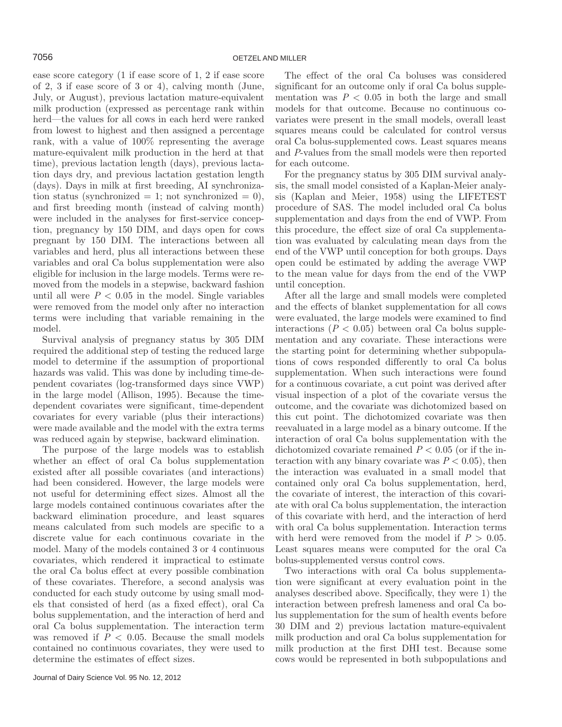ease score category (1 if ease score of 1, 2 if ease score of 2, 3 if ease score of 3 or 4), calving month (June, July, or August), previous lactation mature-equivalent milk production (expressed as percentage rank within herd—the values for all cows in each herd were ranked from lowest to highest and then assigned a percentage rank, with a value of 100% representing the average mature-equivalent milk production in the herd at that time), previous lactation length (days), previous lactation days dry, and previous lactation gestation length (days). Days in milk at first breeding, AI synchronization status (synchronized  $= 1$ ; not synchronized  $= 0$ ), and first breeding month (instead of calving month) were included in the analyses for first-service conception, pregnancy by 150 DIM, and days open for cows pregnant by 150 DIM. The interactions between all variables and herd, plus all interactions between these variables and oral Ca bolus supplementation were also eligible for inclusion in the large models. Terms were removed from the models in a stepwise, backward fashion until all were  $P < 0.05$  in the model. Single variables were removed from the model only after no interaction terms were including that variable remaining in the model.

Survival analysis of pregnancy status by 305 DIM required the additional step of testing the reduced large model to determine if the assumption of proportional hazards was valid. This was done by including time-dependent covariates (log-transformed days since VWP) in the large model (Allison, 1995). Because the timedependent covariates were significant, time-dependent covariates for every variable (plus their interactions) were made available and the model with the extra terms was reduced again by stepwise, backward elimination.

The purpose of the large models was to establish whether an effect of oral Ca bolus supplementation existed after all possible covariates (and interactions) had been considered. However, the large models were not useful for determining effect sizes. Almost all the large models contained continuous covariates after the backward elimination procedure, and least squares means calculated from such models are specific to a discrete value for each continuous covariate in the model. Many of the models contained 3 or 4 continuous covariates, which rendered it impractical to estimate the oral Ca bolus effect at every possible combination of these covariates. Therefore, a second analysis was conducted for each study outcome by using small models that consisted of herd (as a fixed effect), oral Ca bolus supplementation, and the interaction of herd and oral Ca bolus supplementation. The interaction term was removed if  $P < 0.05$ . Because the small models contained no continuous covariates, they were used to determine the estimates of effect sizes.

The effect of the oral Ca boluses was considered significant for an outcome only if oral Ca bolus supplementation was  $P < 0.05$  in both the large and small models for that outcome. Because no continuous covariates were present in the small models, overall least squares means could be calculated for control versus oral Ca bolus-supplemented cows. Least squares means and *P*-values from the small models were then reported for each outcome.

For the pregnancy status by 305 DIM survival analysis, the small model consisted of a Kaplan-Meier analysis (Kaplan and Meier, 1958) using the LIFETEST procedure of SAS. The model included oral Ca bolus supplementation and days from the end of VWP. From this procedure, the effect size of oral Ca supplementation was evaluated by calculating mean days from the end of the VWP until conception for both groups. Days open could be estimated by adding the average VWP to the mean value for days from the end of the VWP until conception.

After all the large and small models were completed and the effects of blanket supplementation for all cows were evaluated, the large models were examined to find interactions  $(P < 0.05)$  between oral Ca bolus supplementation and any covariate. These interactions were the starting point for determining whether subpopulations of cows responded differently to oral Ca bolus supplementation. When such interactions were found for a continuous covariate, a cut point was derived after visual inspection of a plot of the covariate versus the outcome, and the covariate was dichotomized based on this cut point. The dichotomized covariate was then reevaluated in a large model as a binary outcome. If the interaction of oral Ca bolus supplementation with the dichotomized covariate remained  $P < 0.05$  (or if the interaction with any binary covariate was  $P < 0.05$ , then the interaction was evaluated in a small model that contained only oral Ca bolus supplementation, herd, the covariate of interest, the interaction of this covariate with oral Ca bolus supplementation, the interaction of this covariate with herd, and the interaction of herd with oral Ca bolus supplementation. Interaction terms with herd were removed from the model if  $P > 0.05$ . Least squares means were computed for the oral Ca bolus-supplemented versus control cows.

Two interactions with oral Ca bolus supplementation were significant at every evaluation point in the analyses described above. Specifically, they were 1) the interaction between prefresh lameness and oral Ca bolus supplementation for the sum of health events before 30 DIM and 2) previous lactation mature-equivalent milk production and oral Ca bolus supplementation for milk production at the first DHI test. Because some cows would be represented in both subpopulations and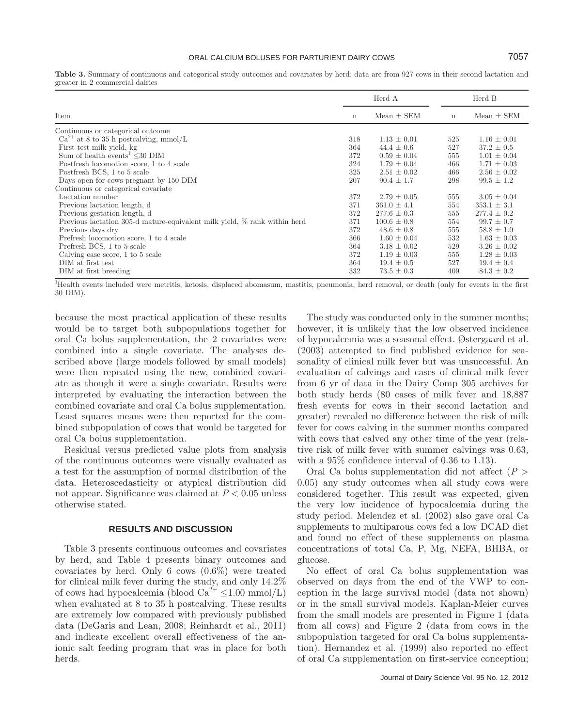|                                                                           |             | Herd A          |             | Herd B          |
|---------------------------------------------------------------------------|-------------|-----------------|-------------|-----------------|
| Item                                                                      | $\mathbf n$ | $Mean \pm SEM$  | $\mathbf n$ | $Mean \pm SEM$  |
| Continuous or categorical outcome                                         |             |                 |             |                 |
| $Ca^{2+}$ at 8 to 35 h postcalving, mmol/L                                | 318         | $1.13 \pm 0.01$ | 525         | $1.16 \pm 0.01$ |
| First-test milk yield, kg                                                 | 364         | $44.4 \pm 0.6$  | 527         | $37.2 \pm 0.5$  |
| Sum of health events <sup>1</sup> $\leq$ 30 DIM                           | 372         | $0.59 \pm 0.04$ | 555         | $1.01 \pm 0.04$ |
| Postfresh locomotion score, 1 to 4 scale                                  | 324         | $1.79 \pm 0.04$ | 466         | $1.71 \pm 0.03$ |
| Postfresh BCS, 1 to 5 scale                                               | 325         | $2.51 \pm 0.02$ | 466         | $2.56 \pm 0.02$ |
| Days open for cows pregnant by 150 DIM                                    | 207         | $90.4 \pm 1.7$  | 298         | $99.5 \pm 1.2$  |
| Continuous or categorical covariate                                       |             |                 |             |                 |
| Lactation number                                                          | 372         | $2.79 \pm 0.05$ | 555         | $3.05 \pm 0.04$ |
| Previous lactation length, d                                              | 371         | $361.0 \pm 4.1$ | 554         | $353.1 \pm 3.1$ |
| Previous gestation length, d                                              | 372         | $277.6 \pm 0.3$ | 555         | $277.4 \pm 0.2$ |
| Previous lactation 305-d mature-equivalent milk yield, % rank within herd | 371         | $100.6 \pm 0.8$ | 554         | $99.7 \pm 0.7$  |
| Previous days dry                                                         | 372         | $48.6 \pm 0.8$  | 555         | $58.8 \pm 1.0$  |
| Prefresh locomotion score, 1 to 4 scale                                   | 366         | $1.60 \pm 0.04$ | 532         | $1.63 \pm 0.03$ |
| Prefresh BCS, 1 to 5 scale                                                | 364         | $3.18 \pm 0.02$ | 529         | $3.26 \pm 0.02$ |
| Calving ease score, 1 to 5 scale                                          | 372         | $1.19 \pm 0.03$ | 555         | $1.28 \pm 0.03$ |
| DIM at first test                                                         | 364         | $19.4 \pm 0.5$  | 527         | $19.4 \pm 0.4$  |
| DIM at first breeding                                                     | 332         | $73.5 \pm 0.3$  | 409         | $84.3 \pm 0.2$  |

**Table 3.** Summary of continuous and categorical study outcomes and covariates by herd; data are from 927 cows in their second lactation and greater in 2 commercial dairies

1 Health events included were metritis, ketosis, displaced abomasum, mastitis, pneumonia, herd removal, or death (only for events in the first 30 DIM).

because the most practical application of these results would be to target both subpopulations together for oral Ca bolus supplementation, the 2 covariates were combined into a single covariate. The analyses described above (large models followed by small models) were then repeated using the new, combined covariate as though it were a single covariate. Results were interpreted by evaluating the interaction between the combined covariate and oral Ca bolus supplementation. Least squares means were then reported for the combined subpopulation of cows that would be targeted for oral Ca bolus supplementation.

Residual versus predicted value plots from analysis of the continuous outcomes were visually evaluated as a test for the assumption of normal distribution of the data. Heteroscedasticity or atypical distribution did not appear. Significance was claimed at *P* < 0.05 unless otherwise stated.

# **RESULTS AND DISCUSSION**

Table 3 presents continuous outcomes and covariates by herd, and Table 4 presents binary outcomes and covariates by herd. Only 6 cows (0.6%) were treated for clinical milk fever during the study, and only 14.2% of cows had hypocalcemia (blood  $Ca^{2+} \leq 1.00$  mmol/L) when evaluated at 8 to 35 h postcalving. These results are extremely low compared with previously published data (DeGaris and Lean, 2008; Reinhardt et al., 2011) and indicate excellent overall effectiveness of the anionic salt feeding program that was in place for both herds.

The study was conducted only in the summer months; however, it is unlikely that the low observed incidence of hypocalcemia was a seasonal effect. Østergaard et al. (2003) attempted to find published evidence for seasonality of clinical milk fever but was unsuccessful. An evaluation of calvings and cases of clinical milk fever from 6 yr of data in the Dairy Comp 305 archives for both study herds (80 cases of milk fever and 18,887 fresh events for cows in their second lactation and greater) revealed no difference between the risk of milk fever for cows calving in the summer months compared with cows that calved any other time of the year (relative risk of milk fever with summer calvings was 0.63, with a 95% confidence interval of 0.36 to 1.13).

Oral Ca bolus supplementation did not affect (*P* > 0.05) any study outcomes when all study cows were considered together. This result was expected, given the very low incidence of hypocalcemia during the study period. Melendez et al. (2002) also gave oral Ca supplements to multiparous cows fed a low DCAD diet and found no effect of these supplements on plasma concentrations of total Ca, P, Mg, NEFA, BHBA, or glucose.

No effect of oral Ca bolus supplementation was observed on days from the end of the VWP to conception in the large survival model (data not shown) or in the small survival models. Kaplan-Meier curves from the small models are presented in Figure 1 (data from all cows) and Figure 2 (data from cows in the subpopulation targeted for oral Ca bolus supplementation). Hernandez et al. (1999) also reported no effect of oral Ca supplementation on first-service conception;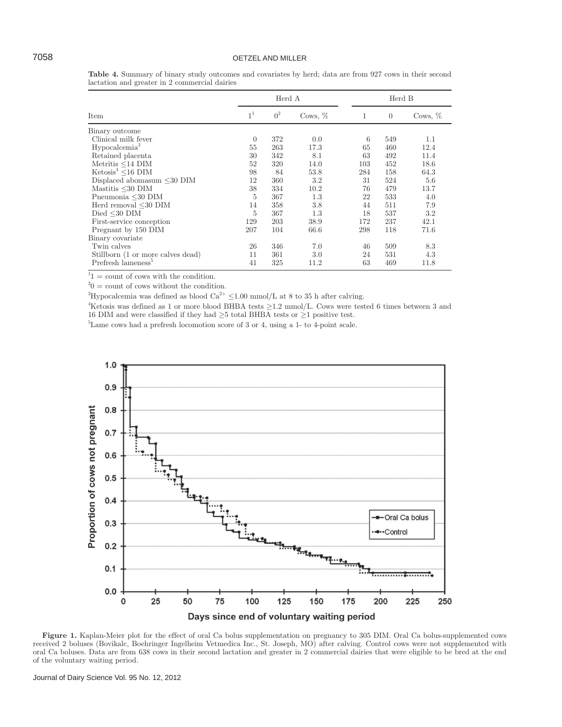# 7058 OETZEL AND MILLER

|                                   |                | Herd A         |           |     | Herd B         |           |  |
|-----------------------------------|----------------|----------------|-----------|-----|----------------|-----------|--|
| Item                              | 1 <sup>1</sup> | 0 <sup>2</sup> | Cows, $%$ | 1   | $\overline{0}$ | Cows, $%$ |  |
| Binary outcome                    |                |                |           |     |                |           |  |
| Clinical milk fever               | $\theta$       | 372            | 0.0       | 6   | 549            | 1.1       |  |
| Hypocalcemia <sup>3</sup>         | 55             | 263            | 17.3      | 65  | 460            | 12.4      |  |
| Retained placenta                 | 30             | 342            | 8.1       | 63  | 492            | 11.4      |  |
| Metritis $\leq$ 14 DIM            | 52             | 320            | 14.0      | 103 | 452            | 18.6      |  |
| $Ketosis4 < 16$ DIM               | 98             | 84             | 53.8      | 284 | 158            | 64.3      |  |
| Displaced abomasum <30 DIM        | 12             | 360            | 3.2       | 31  | 524            | 5.6       |  |
| Mastitis $\leq 30$ DIM            | 38             | 334            | 10.2      | 76  | 479            | 13.7      |  |
| Pneumonia $\leq 30$ DIM           | 5              | 367            | 1.3       | 22  | 533            | 4.0       |  |
| Herd removal $\leq 30$ DIM        | 14             | 358            | 3.8       | 44  | 511            | 7.9       |  |
| Died $\leq$ 30 DIM                | 5              | 367            | 1.3       | 18  | 537            | $3.2\,$   |  |
| First-service conception          | 129            | 203            | 38.9      | 172 | 237            | 42.1      |  |
| Pregnant by 150 DIM               | 207            | 104            | 66.6      | 298 | 118            | 71.6      |  |
| Binary covariate                  |                |                |           |     |                |           |  |
| Twin calves                       | 26             | 346            | 7.0       | 46  | 509            | 8.3       |  |
| Stillborn (1 or more calves dead) | 11             | 361            | 3.0       | 24  | 531            | 4.3       |  |
| Prefresh lameness <sup>5</sup>    | 41             | 325            | 11.2      | 63  | 469            | 11.8      |  |

**Table 4.** Summary of binary study outcomes and covariates by herd; data are from 927 cows in their second lactation and greater in 2 commercial dairies

 $1<sup>1</sup> =$  count of cows with the condition.

 $^{2}0 =$  count of cows without the condition.

<sup>3</sup>Hypocalcemia was defined as blood  $Ca^{2+} \leq 1.00$  mmol/L at 8 to 35 h after calving.

4 Ketosis was defined as 1 or more blood BHBA tests ≥1.2 mmol/L. Cows were tested 6 times between 3 and 16 DIM and were classified if they had ≥5 total BHBA tests or ≥1 positive test.

5 Lame cows had a prefresh locomotion score of 3 or 4, using a 1- to 4-point scale.



**Figure 1.** Kaplan-Meier plot for the effect of oral Ca bolus supplementation on pregnancy to 305 DIM. Oral Ca bolus-supplemented cows received 2 boluses (Bovikalc, Boehringer Ingelheim Vetmedica Inc., St. Joseph, MO) after calving. Control cows were not supplemented with oral Ca boluses. Data are from 638 cows in their second lactation and greater in 2 commercial dairies that were eligible to be bred at the end of the voluntary waiting period.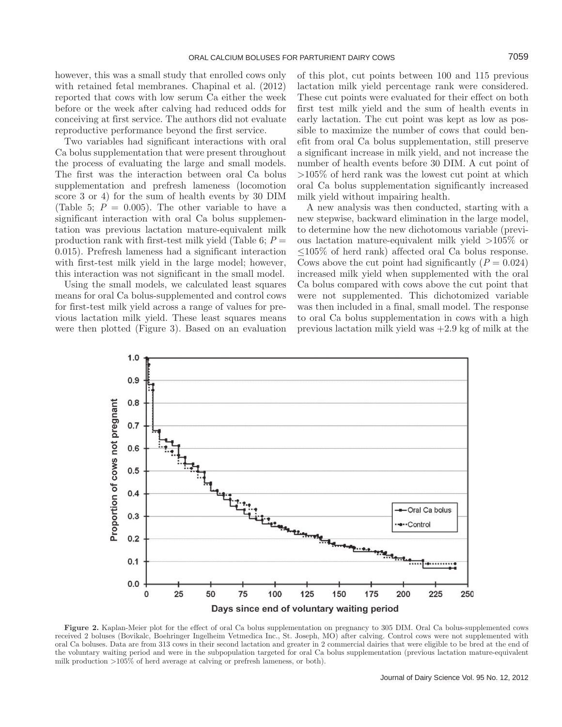however, this was a small study that enrolled cows only with retained fetal membranes. Chapinal et al. (2012) reported that cows with low serum Ca either the week before or the week after calving had reduced odds for conceiving at first service. The authors did not evaluate reproductive performance beyond the first service.

Two variables had significant interactions with oral Ca bolus supplementation that were present throughout the process of evaluating the large and small models. The first was the interaction between oral Ca bolus supplementation and prefresh lameness (locomotion score 3 or 4) for the sum of health events by 30 DIM (Table 5;  $P = 0.005$ ). The other variable to have a significant interaction with oral Ca bolus supplementation was previous lactation mature-equivalent milk production rank with first-test milk yield (Table 6;  $P =$ 0.015). Prefresh lameness had a significant interaction with first-test milk yield in the large model; however, this interaction was not significant in the small model.

Using the small models, we calculated least squares means for oral Ca bolus-supplemented and control cows for first-test milk yield across a range of values for previous lactation milk yield. These least squares means were then plotted (Figure 3). Based on an evaluation of this plot, cut points between 100 and 115 previous lactation milk yield percentage rank were considered. These cut points were evaluated for their effect on both first test milk yield and the sum of health events in early lactation. The cut point was kept as low as possible to maximize the number of cows that could benefit from oral Ca bolus supplementation, still preserve a significant increase in milk yield, and not increase the number of health events before 30 DIM. A cut point of >105% of herd rank was the lowest cut point at which oral Ca bolus supplementation significantly increased milk yield without impairing health.

A new analysis was then conducted, starting with a new stepwise, backward elimination in the large model, to determine how the new dichotomous variable (previous lactation mature-equivalent milk yield >105% or ≤105% of herd rank) affected oral Ca bolus response. Cows above the cut point had significantly  $(P = 0.024)$ increased milk yield when supplemented with the oral Ca bolus compared with cows above the cut point that were not supplemented. This dichotomized variable was then included in a final, small model. The response to oral Ca bolus supplementation in cows with a high previous lactation milk yield was +2.9 kg of milk at the



**Figure 2.** Kaplan-Meier plot for the effect of oral Ca bolus supplementation on pregnancy to 305 DIM. Oral Ca bolus-supplemented cows received 2 boluses (Bovikalc, Boehringer Ingelheim Vetmedica Inc., St. Joseph, MO) after calving. Control cows were not supplemented with oral Ca boluses. Data are from 313 cows in their second lactation and greater in 2 commercial dairies that were eligible to be bred at the end of the voluntary waiting period and were in the subpopulation targeted for oral Ca bolus supplementation (previous lactation mature-equivalent milk production >105% of herd average at calving or prefresh lameness, or both).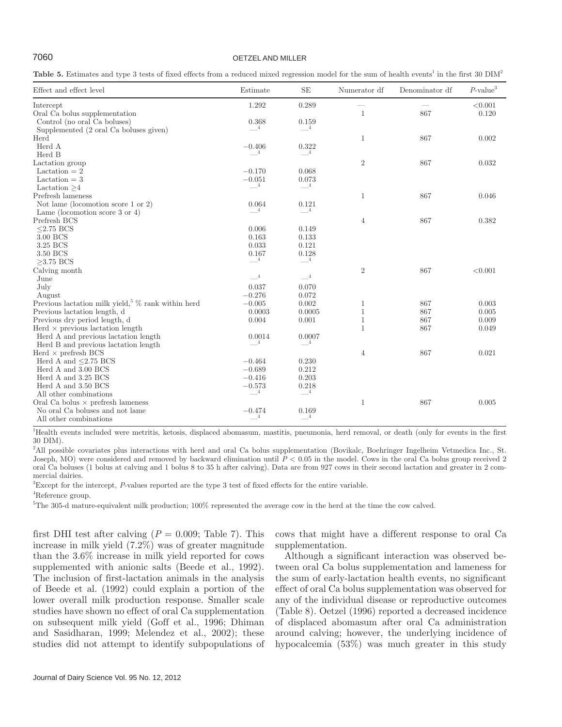# 7060 OETZEL AND MILLER

Table 5. Estimates and type 3 tests of fixed effects from a reduced mixed regression model for the sum of health events<sup>1</sup> in the first 30 DIM<sup>2</sup>

| Effect and effect level                               | Estimate                | <b>SE</b>                | Numerator df   | Denominator df | $P$ -value <sup>3</sup> |
|-------------------------------------------------------|-------------------------|--------------------------|----------------|----------------|-------------------------|
| Intercept                                             | 1.292                   | 0.289                    |                |                | < 0.001                 |
| Oral Ca bolus supplementation                         |                         |                          | $\mathbf{1}$   | 867            | 0.120                   |
| Control (no oral Ca boluses)                          | 0.368                   | 0.159                    |                |                |                         |
| Supplemented (2 oral Ca boluses given)                | $\overline{4}$          | $-4$                     |                |                |                         |
| Herd                                                  |                         |                          | $\mathbf{1}$   | 867            | 0.002                   |
| Herd A                                                | $-0.406$                | 0.322                    |                |                |                         |
| Herd B                                                | $\overline{4}$          | $\overline{4}$           |                |                |                         |
| Lactation group                                       |                         |                          | $\sqrt{2}$     | 867            | 0.032                   |
| Lactation $= 2$                                       | $-0.170$                | 0.068                    |                |                |                         |
| Lactation $=$ 3                                       | $-0.051$                | 0.073                    |                |                |                         |
| Lactation $>4$                                        | $\overline{4}$          | $\overline{\phantom{0}}$ |                |                |                         |
| Prefresh lameness                                     |                         |                          | 1              | 867            | 0.046                   |
| Not lame (locomotion score 1 or 2)                    | 0.064                   | 0.121                    |                |                |                         |
| Lame (locomotion score 3 or 4)                        | $\overline{4}$          | $-4$                     |                |                |                         |
| Prefresh BCS                                          |                         |                          | $\overline{4}$ | 867            | 0.382                   |
| $< 2.75$ BCS                                          | 0.006                   | 0.149                    |                |                |                         |
| 3.00 BCS                                              | 0.163                   | 0.133                    |                |                |                         |
| 3.25 BCS                                              | 0.033                   | 0.121                    |                |                |                         |
| 3.50 BCS                                              | 0.167                   | 0.128                    |                |                |                         |
| $>3.75$ BCS                                           | $-4$                    | $-4$                     |                |                |                         |
| Calving month                                         |                         |                          | $\,2$          | 867            | < 0.001                 |
| June                                                  | $\_$ 4 $\hspace{0.1mm}$ | $-4$                     |                |                |                         |
| July                                                  | 0.037                   | 0.070                    |                |                |                         |
| August                                                | $-0.276$                | 0.072                    |                |                |                         |
| Previous lactation milk yield, $\%$ rank within herd  | $-0.005$                | 0.002                    | 1              | 867            | 0.003                   |
| Previous lactation length, d                          | 0.0003                  | 0.0005                   | $\mathbf{1}$   | 867            | 0.005                   |
| Previous dry period length, d                         | 0.004                   | 0.001                    | $\mathbf{1}$   | 867            | 0.009                   |
| $\text{Herd} \times \text{previous}$ lactation length |                         |                          | $\mathbf{1}$   | 867            | 0.049                   |
| Herd A and previous lactation length                  | 0.0014                  | 0.0007                   |                |                |                         |
| Herd B and previous lactation length                  | $\overline{4}$          | $\overline{4}$           |                |                |                         |
| Herd $\times$ prefresh BCS                            |                         |                          | 4              | 867            | 0.021                   |
| Herd A and $\leq$ 2.75 BCS                            | $-0.464$                | 0.230                    |                |                |                         |
| Herd A and 3.00 BCS                                   | $-0.689$                | 0.212                    |                |                |                         |
| Herd A and 3.25 BCS                                   | $-0.416$                | 0.203                    |                |                |                         |
| Herd A and 3.50 BCS                                   | $-0.573$                | 0.218                    |                |                |                         |
| All other combinations                                | $\overline{4}$          | $-4$                     |                |                |                         |
| Oral Ca bolus $\times$ prefresh lameness              |                         |                          | 1              | 867            | 0.005                   |
| No oral Ca boluses and not lame                       | $-0.474$                | 0.169                    |                |                |                         |
| All other combinations                                | $^{-4}$                 | $\frac{1}{4}$            |                |                |                         |

1 Health events included were metritis, ketosis, displaced abomasum, mastitis, pneumonia, herd removal, or death (only for events in the first 30 DIM).

2 All possible covariates plus interactions with herd and oral Ca bolus supplementation (Bovikalc, Boehringer Ingelheim Vetmedica Inc., St. Joseph, MO) were considered and removed by backward elimination until *P* < 0.05 in the model. Cows in the oral Ca bolus group received 2 oral Ca boluses (1 bolus at calving and 1 bolus 8 to 35 h after calving). Data are from 927 cows in their second lactation and greater in 2 commercial dairies.

3 Except for the intercept, *P*-values reported are the type 3 test of fixed effects for the entire variable.

4 Reference group.

5 The 305-d mature-equivalent milk production; 100% represented the average cow in the herd at the time the cow calved.

first DHI test after calving  $(P = 0.009; \text{ Table 7})$ . This increase in milk yield (7.2%) was of greater magnitude than the 3.6% increase in milk yield reported for cows supplemented with anionic salts (Beede et al., 1992). The inclusion of first-lactation animals in the analysis of Beede et al. (1992) could explain a portion of the lower overall milk production response. Smaller scale studies have shown no effect of oral Ca supplementation on subsequent milk yield (Goff et al., 1996; Dhiman and Sasidharan, 1999; Melendez et al., 2002); these studies did not attempt to identify subpopulations of cows that might have a different response to oral Ca supplementation.

Although a significant interaction was observed between oral Ca bolus supplementation and lameness for the sum of early-lactation health events, no significant effect of oral Ca bolus supplementation was observed for any of the individual disease or reproductive outcomes (Table 8). Oetzel (1996) reported a decreased incidence of displaced abomasum after oral Ca administration around calving; however, the underlying incidence of hypocalcemia (53%) was much greater in this study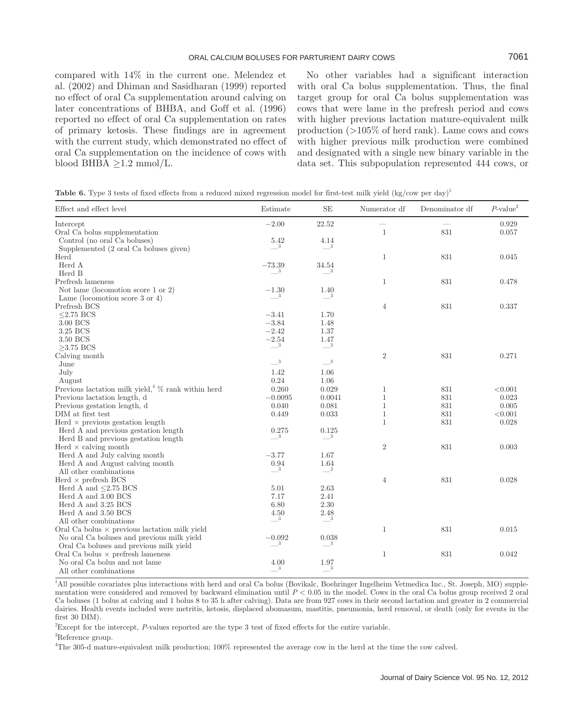compared with 14% in the current one. Melendez et al. (2002) and Dhiman and Sasidharan (1999) reported no effect of oral Ca supplementation around calving on later concentrations of BHBA, and Goff et al. (1996) reported no effect of oral Ca supplementation on rates of primary ketosis. These findings are in agreement with the current study, which demonstrated no effect of oral Ca supplementation on the incidence of cows with blood BHBA  $\geq$ 1.2 mmol/L.

No other variables had a significant interaction with oral Ca bolus supplementation. Thus, the final target group for oral Ca bolus supplementation was cows that were lame in the prefresh period and cows with higher previous lactation mature-equivalent milk production (>105% of herd rank). Lame cows and cows with higher previous milk production were combined and designated with a single new binary variable in the data set. This subpopulation represented 444 cows, or

**Table 6.** Type 3 tests of fixed effects from a reduced mixed regression model for first-test milk yield (kg/cow per day)<sup>1</sup>

| Effect and effect level                              | Estimate                           | $\rm SE$                        | Numerator df   | Denominator df | $P\text{-value}^2$ |
|------------------------------------------------------|------------------------------------|---------------------------------|----------------|----------------|--------------------|
| Intercept                                            | $-2.00$                            | 22.52                           |                |                | 0.929              |
| Oral Ca bolus supplementation                        |                                    |                                 | $\mathbf{1}$   | 831            | 0.057              |
| Control (no oral Ca boluses)                         | 5.42                               | 4.14                            |                |                |                    |
| Supplemented (2 oral Ca boluses given)               | 3                                  | $\equiv$ <sup>3</sup>           |                |                |                    |
| Herd                                                 |                                    |                                 | $\mathbf{1}$   | 831            | 0.045              |
| Herd A                                               | $-73.39$                           | 34.54                           |                |                |                    |
| Herd B                                               | 3                                  | -3                              |                |                |                    |
| Prefresh lameness                                    |                                    |                                 | $\mathbf{1}$   | 831            | 0.478              |
| Not lame (locomotion score 1 or 2)                   | $-1.30$                            | 1.40                            |                |                |                    |
| Lame (locomotion score 3 or 4)                       | $^{\circ}$ 3                       | $\overline{\phantom{a}}$        |                |                |                    |
| Prefresh BCS                                         |                                    |                                 | $\overline{4}$ | 831            | 0.337              |
| $\leq$ 2.75 BCS                                      | $-3.41$                            | 1.70                            |                |                |                    |
| 3.00 BCS                                             | $-3.84$                            | 1.48                            |                |                |                    |
| 3.25 BCS                                             | $-2.42$                            | 1.37                            |                |                |                    |
| 3.50 BCS                                             | $-2.54$                            | 1.47                            |                |                |                    |
| $>3.75$ BCS                                          | $\overline{\phantom{a}3}$          | $\equiv^3$                      |                |                |                    |
| Calving month                                        |                                    |                                 | $\sqrt{2}$     | 831            | 0.271              |
| June                                                 | $\_\_3$                            | $\_\_3$                         |                |                |                    |
| July                                                 | 1.42                               | 1.06                            |                |                |                    |
| August                                               | 0.24                               | 1.06                            |                |                |                    |
| Previous lactation milk yield, $\%$ rank within herd | 0.260                              | 0.029                           | $\mathbf{1}$   | 831            | < 0.001            |
| Previous lactation length, d                         | $-0.0095$                          | 0.0041                          | $\mathbf{1}$   | 831            | 0.023              |
| Previous gestation length, d                         | 0.040                              | 0.081                           | $\mathbf{1}$   | 831            | 0.005              |
| DIM at first test                                    | 0.449                              | 0.033                           | $\mathbf{1}$   | 831            | < 0.001            |
| Herd $\times$ previous gestation length              |                                    |                                 | $\mathbf{1}$   | 831            | 0.028              |
| Herd A and previous gestation length                 | 0.275                              | 0.125                           |                |                |                    |
| Herd B and previous gestation length                 | 3 <sup>3</sup>                     | $\overline{\phantom{0}}^3$      |                |                |                    |
| Herd $\times$ calving month                          |                                    |                                 | $\overline{2}$ | 831            | 0.003              |
| Herd A and July calving month                        | $-3.77$                            | 1.67                            |                |                |                    |
| Herd A and August calving month                      | 0.94                               | 1.64                            |                |                |                    |
| All other combinations                               | $\overline{\phantom{0}3}$          | $-$ <sup>3</sup>                |                |                |                    |
| Herd $\times$ prefresh BCS                           |                                    |                                 | $\overline{4}$ | 831            | 0.028              |
| Herd A and $\leq$ 2.75 BCS                           | 5.01                               | 2.63                            |                |                |                    |
| Herd A and 3.00 BCS                                  | 7.17                               | 2.41                            |                |                |                    |
| Herd A and 3.25 BCS                                  | 6.80                               | 2.30                            |                |                |                    |
| Herd A and 3.50 BCS                                  | 4.50                               | $2.48\,$                        |                |                |                    |
| All other combinations                               | $3\phantom{.00000000000000000000}$ | $\overline{\phantom{0}}^3$      |                |                |                    |
| Oral Ca bolus $\times$ previous lactation milk yield |                                    |                                 | $\mathbf{1}$   | 831            | 0.015              |
| No oral Ca boluses and previous milk yield           | $\frac{-0.092}{3}$                 | 0.038                           |                |                |                    |
| Oral Ca boluses and previous milk yield              |                                    | 3                               |                |                |                    |
| Oral Ca bolus $\times$ prefresh lameness             |                                    |                                 | $\mathbf{1}$   | $831\,$        | 0.042              |
| No oral Ca bolus and not lame                        | 4.00                               | $\underbrace{^{1.97}_{\quad3}}$ |                |                |                    |
| All other combinations                               | $\boldsymbol{3}$                   |                                 |                |                |                    |

<sup>1</sup>All possible covariates plus interactions with herd and oral Ca bolus (Bovikalc, Boehringer Ingelheim Vetmedica Inc., St. Joseph, MO) supplementation were considered and removed by backward elimination until *P* < 0.05 in the model. Cows in the oral Ca bolus group received 2 oral Ca boluses (1 bolus at calving and 1 bolus 8 to 35 h after calving). Data are from 927 cows in their second lactation and greater in 2 commercial dairies. Health events included were metritis, ketosis, displaced abomasum, mastitis, pneumonia, herd removal, or death (only for events in the first 30 DIM).

2 Except for the intercept, *P*-values reported are the type 3 test of fixed effects for the entire variable.

<sup>3</sup>Reference group.

4 The 305-d mature-equivalent milk production; 100% represented the average cow in the herd at the time the cow calved.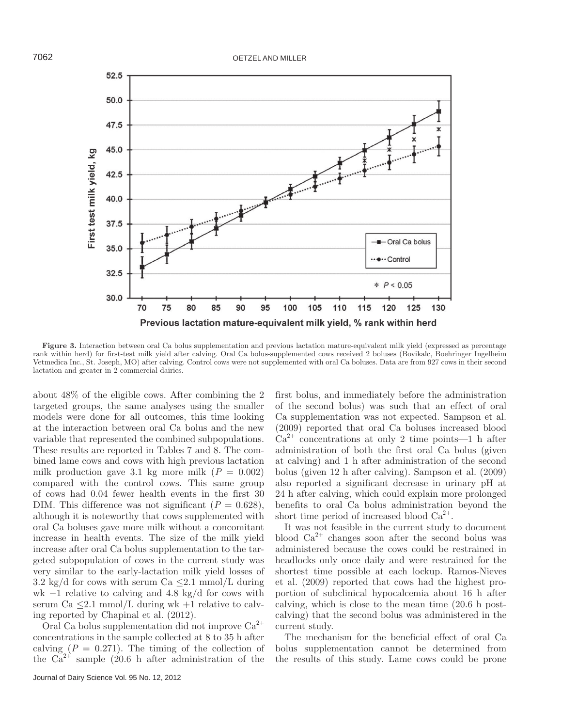

**Figure 3.** Interaction between oral Ca bolus supplementation and previous lactation mature-equivalent milk yield (expressed as percentage rank within herd) for first-test milk yield after calving. Oral Ca bolus-supplemented cows received 2 boluses (Bovikalc, Boehringer Ingelheim Vetmedica Inc., St. Joseph, MO) after calving. Control cows were not supplemented with oral Ca boluses. Data are from 927 cows in their second lactation and greater in 2 commercial dairies.

about 48% of the eligible cows. After combining the 2 targeted groups, the same analyses using the smaller models were done for all outcomes, this time looking at the interaction between oral Ca bolus and the new variable that represented the combined subpopulations. These results are reported in Tables 7 and 8. The combined lame cows and cows with high previous lactation milk production gave 3.1 kg more milk  $(P = 0.002)$ compared with the control cows. This same group of cows had 0.04 fewer health events in the first 30 DIM. This difference was not significant  $(P = 0.628)$ , although it is noteworthy that cows supplemented with oral Ca boluses gave more milk without a concomitant increase in health events. The size of the milk yield increase after oral Ca bolus supplementation to the targeted subpopulation of cows in the current study was very similar to the early-lactation milk yield losses of 3.2 kg/d for cows with serum Ca  $\leq$ 2.1 mmol/L during wk  $-1$  relative to calving and 4.8 kg/d for cows with serum Ca  $\leq$ 2.1 mmol/L during wk +1 relative to calving reported by Chapinal et al. (2012).

Oral Ca bolus supplementation did not improve  $Ca^{2+}$ concentrations in the sample collected at 8 to 35 h after calving  $(P = 0.271)$ . The timing of the collection of the  $Ca^{2+}$  sample (20.6 h after administration of the

Journal of Dairy Science Vol. 95 No. 12, 2012

first bolus, and immediately before the administration of the second bolus) was such that an effect of oral Ca supplementation was not expected. Sampson et al. (2009) reported that oral Ca boluses increased blood  $Ca^{2+}$  concentrations at only 2 time points—1 h after administration of both the first oral Ca bolus (given at calving) and 1 h after administration of the second bolus (given 12 h after calving). Sampson et al. (2009) also reported a significant decrease in urinary pH at 24 h after calving, which could explain more prolonged benefits to oral Ca bolus administration beyond the short time period of increased blood  $Ca^{2+}$ .

It was not feasible in the current study to document blood  $Ca^{2+}$  changes soon after the second bolus was administered because the cows could be restrained in headlocks only once daily and were restrained for the shortest time possible at each lockup. Ramos-Nieves et al. (2009) reported that cows had the highest proportion of subclinical hypocalcemia about 16 h after calving, which is close to the mean time (20.6 h postcalving) that the second bolus was administered in the current study.

The mechanism for the beneficial effect of oral Ca bolus supplementation cannot be determined from the results of this study. Lame cows could be prone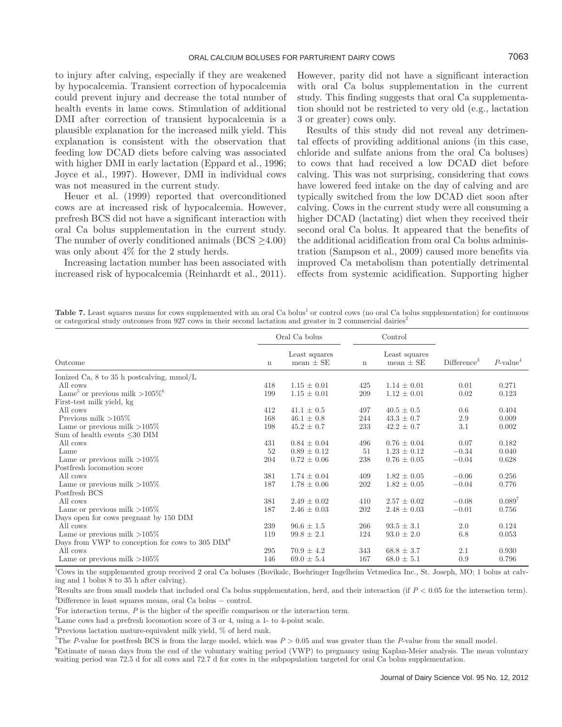to injury after calving, especially if they are weakened by hypocalcemia. Transient correction of hypocalcemia could prevent injury and decrease the total number of health events in lame cows. Stimulation of additional DMI after correction of transient hypocalcemia is a plausible explanation for the increased milk yield. This explanation is consistent with the observation that feeding low DCAD diets before calving was associated with higher DMI in early lactation (Eppard et al., 1996; Joyce et al., 1997). However, DMI in individual cows was not measured in the current study.

Heuer et al. (1999) reported that overconditioned cows are at increased risk of hypocalcemia. However, prefresh BCS did not have a significant interaction with oral Ca bolus supplementation in the current study. The number of overly conditioned animals (BCS ≥4.00) was only about 4% for the 2 study herds.

Increasing lactation number has been associated with increased risk of hypocalcemia (Reinhardt et al., 2011). However, parity did not have a significant interaction with oral Ca bolus supplementation in the current study. This finding suggests that oral Ca supplementation should not be restricted to very old (e.g., lactation 3 or greater) cows only.

Results of this study did not reveal any detrimental effects of providing additional anions (in this case, chloride and sulfate anions from the oral Ca boluses) to cows that had received a low DCAD diet before calving. This was not surprising, considering that cows have lowered feed intake on the day of calving and are typically switched from the low DCAD diet soon after calving. Cows in the current study were all consuming a higher DCAD (lactating) diet when they received their second oral Ca bolus. It appeared that the benefits of the additional acidification from oral Ca bolus administration (Sampson et al., 2009) caused more benefits via improved Ca metabolism than potentially detrimental effects from systemic acidification. Supporting higher

Table 7. Least squares means for cows supplemented with an oral Ca bolus<sup>1</sup> or control cows (no oral Ca bolus supplementation) for continuous or categorical study outcomes from 927 cows in their second lactation and greater in 2 commercial dairies<sup>2</sup>

|                                                            |             | Oral Ca bolus                  |             | Control                        |                         |                         |  |
|------------------------------------------------------------|-------------|--------------------------------|-------------|--------------------------------|-------------------------|-------------------------|--|
| Outcome                                                    | $\mathbf n$ | Least squares<br>mean $\pm$ SE | $\mathbf n$ | Least squares<br>mean $\pm$ SE | Difference <sup>3</sup> | $P$ -value <sup>4</sup> |  |
| Ionized Ca, $8 \text{ to } 35$ h postcalving, mmol/L       |             |                                |             |                                |                         |                         |  |
| All cows                                                   | 418         | $1.15 \pm 0.01$                | 425         | $1.14 \pm 0.01$                | 0.01                    | 0.271                   |  |
| Lame <sup>5</sup> or previous milk > $105\%$ <sup>6</sup>  | 199         | $1.15 \pm 0.01$                | 209         | $1.12 \pm 0.01$                | 0.02                    | 0.123                   |  |
| First-test milk yield, kg                                  |             |                                |             |                                |                         |                         |  |
| All cows                                                   | 412         | $41.1 \pm 0.5$                 | 497         | $40.5 \pm 0.5$                 | 0.6                     | 0.404                   |  |
| Previous milk $>105\%$                                     | 168         | $46.1 \pm 0.8$                 | 244         | $43.3 \pm 0.7$                 | 2.9                     | 0.009                   |  |
| Lame or previous milk $>105\%$                             | 198         | $45.2 \pm 0.7$                 | 233         | $42.2 \pm 0.7$                 | 3.1                     | 0.002                   |  |
| Sum of health events $\leq 30$ DIM                         |             |                                |             |                                |                         |                         |  |
| All cows                                                   | 431         | $0.84 \pm 0.04$                | 496         | $0.76 \pm 0.04$                | 0.07                    | 0.182                   |  |
| Lame                                                       | 52          | $0.89 \pm 0.12$                | 51          | $1.23 \pm 0.12$                | $-0.34$                 | 0.040                   |  |
| Lame or previous milk $>105\%$                             | 204         | $0.72 \pm 0.06$                | 238         | $0.76 \pm 0.05$                | $-0.04$                 | 0.628                   |  |
| Postfresh locomotion score                                 |             |                                |             |                                |                         |                         |  |
| All cows                                                   | 381         | $1.74 \pm 0.04$                | 409         | $1.82 \pm 0.05$                | $-0.06$                 | 0.256                   |  |
| Lame or previous milk $>105\%$                             | 187         | $1.78 \pm 0.06$                | 202         | $1.82 \pm 0.05$                | $-0.04$                 | 0.776                   |  |
| Postfresh BCS                                              |             |                                |             |                                |                         |                         |  |
| All cows                                                   | 381         | $2.49 \pm 0.02$                | 410         | $2.57 \pm 0.02$                | $-0.08$                 | 0.089'                  |  |
| Lame or previous milk $>105\%$                             | 187         | $2.46 \pm 0.03$                | 202         | $2.48 \pm 0.03$                | $-0.01$                 | 0.756                   |  |
| Days open for cows pregnant by 150 DIM                     |             |                                |             |                                |                         |                         |  |
| All cows                                                   | 239         | $96.6 \pm 1.5$                 | 266         | $93.5 \pm 3.1$                 | 2.0                     | 0.124                   |  |
| Lame or previous milk $>105\%$                             | 119         | $99.8 \pm 2.1$                 | 124         | $93.0 \pm 2.0$                 | 6.8                     | 0.053                   |  |
| Days from VWP to conception for cows to 305 $\text{DIM}^8$ |             |                                |             |                                |                         |                         |  |
| All cows                                                   | 295         | $70.9 \pm 4.2$                 | 343         | $68.8 \pm 3.7$                 | 2.1                     | 0.930                   |  |
| Lame or previous milk $>105\%$                             | 146         | $69.0 \pm 5.4$                 | 167         | $68.0 \pm 5.1$                 | 0.9                     | 0.796                   |  |

1 Cows in the supplemented group received 2 oral Ca boluses (Bovikalc, Boehringer Ingelheim Vetmedica Inc., St. Joseph, MO; 1 bolus at calving and 1 bolus 8 to 35 h after calving).

<sup>2</sup>Results are from small models that included oral Ca bolus supplementation, herd, and their interaction (if  $P < 0.05$  for the interaction term). 3 Difference in least squares means, oral Ca bolus − control.

<sup>4</sup>For interaction terms, P is the higher of the specific comparison or the interaction term.

5 Lame cows had a prefresh locomotion score of 3 or 4, using a 1- to 4-point scale.

6 Previous lactation mature-equivalent milk yield, % of herd rank.

<sup>7</sup>The *P*-value for postfresh BCS is from the large model, which was  $P > 0.05$  and was greater than the *P*-value from the small model.

8 Estimate of mean days from the end of the voluntary waiting period (VWP) to pregnancy using Kaplan-Meier analysis. The mean voluntary waiting period was 72.5 d for all cows and 72.7 d for cows in the subpopulation targeted for oral Ca bolus supplementation.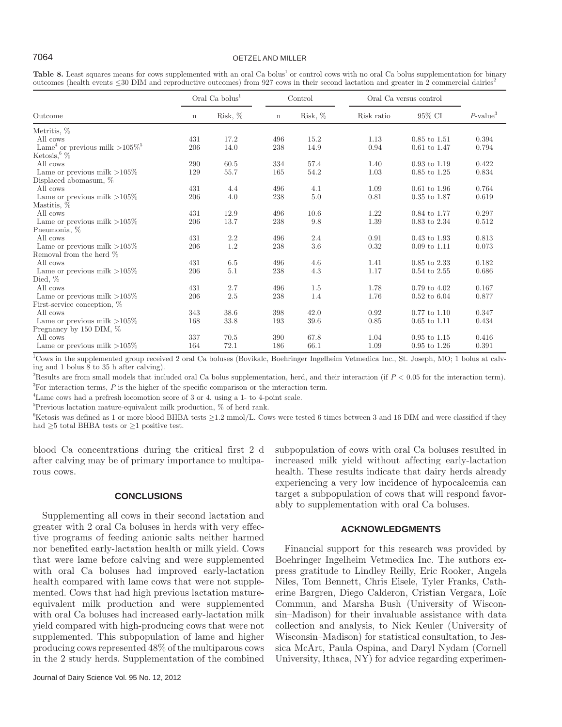# 7064 OETZEL AND MILLER

|  | Table 8. Least squares means for cows supplemented with an oral Ca bolus <sup>1</sup> or control cows with no oral Ca bolus supplementation for binary    |  |  |  |  |
|--|-----------------------------------------------------------------------------------------------------------------------------------------------------------|--|--|--|--|
|  | outcomes (health events $\leq$ 30 DIM and reproductive outcomes) from 927 cows in their second lactation and greater in 2 commercial dairies <sup>2</sup> |  |  |  |  |

|                                                          |             | Oral Ca bolus <sup>1</sup> |             | Control | Oral Ca versus control |                         |                         |
|----------------------------------------------------------|-------------|----------------------------|-------------|---------|------------------------|-------------------------|-------------------------|
| Outcome                                                  | $\mathbf n$ | Risk, %                    | $\mathbf n$ | Risk, % | Risk ratio             | 95% CI                  | $P$ -value <sup>3</sup> |
| Metritis, %                                              |             |                            |             |         |                        |                         |                         |
| All cows                                                 | 431         | 17.2                       | 496         | 15.2    | 1.13                   | $0.85$ to $1.51$        | 0.394                   |
| Lame <sup>4</sup> or previous milk $>105\%$ <sup>5</sup> | 206         | 14.0                       | 238         | 14.9    | 0.94                   | $0.61$ to $1.47$        | 0.794                   |
| Ketosis, $\%$                                            |             |                            |             |         |                        |                         |                         |
| All cows                                                 | 290         | 60.5                       | 334         | 57.4    | 1.40                   | $0.93$ to $1.19$        | 0.422                   |
| Lame or previous milk $>105\%$                           | 129         | 55.7                       | 165         | 54.2    | 1.03                   | $0.85$ to $1.25$        | 0.834                   |
| Displaced abomasum, $%$                                  |             |                            |             |         |                        |                         |                         |
| All cows                                                 | 431         | 4.4                        | 496         | 4.1     | 1.09                   | $0.61$ to $1.96$        | 0.764                   |
| Lame or previous milk $>105\%$                           | 206         | 4.0                        | 238         | 5.0     | 0.81                   | $0.35$ to $1.87$        | 0.619                   |
| Mastitis, %                                              |             |                            |             |         |                        |                         |                         |
| All cows                                                 | 431         | 12.9                       | 496         | 10.6    | 1.22                   | 0.84 to 1.77            | 0.297                   |
| Lame or previous milk $>105\%$                           | 206         | 13.7                       | 238         | 9.8     | 1.39                   | $0.83$ to $2.34$        | 0.512                   |
| Pneumonia, %                                             |             |                            |             |         |                        |                         |                         |
| All cows                                                 | 431         | 2.2                        | 496         | 2.4     | 0.91                   | $0.43$ to $1.93$        | 0.813                   |
| Lame or previous milk $>105\%$                           | 206         | 1.2                        | 238         | 3.6     | 0.32                   | $0.09 \text{ to } 1.11$ | 0.073                   |
| Removal from the herd %                                  |             |                            |             |         |                        |                         |                         |
| All cows                                                 | 431         | $6.5\,$                    | 496         | 4.6     | 1.41                   | 0.85 to 2.33            | 0.182                   |
| Lame or previous milk $>105\%$                           | 206         | 5.1                        | 238         | 4.3     | 1.17                   | $0.54$ to $2.55$        | 0.686                   |
| Died, $%$                                                |             |                            |             |         |                        |                         |                         |
| All cows                                                 | 431         | 2.7                        | 496         | 1.5     | 1.78                   | $0.79 \text{ to } 4.02$ | 0.167                   |
| Lame or previous milk $>105\%$                           | 206         | 2.5                        | 238         | 1.4     | 1.76                   | $0.52 \text{ to } 6.04$ | 0.877                   |
| First-service conception, %                              |             |                            |             |         |                        |                         |                         |
| All cows                                                 | 343         | 38.6                       | 398         | 42.0    | 0.92                   | $0.77$ to $1.10$        | 0.347                   |
| Lame or previous milk $>105\%$                           | 168         | 33.8                       | 193         | 39.6    | 0.85                   | $0.65$ to $1.11$        | 0.434                   |
| Pregnancy by $150$ DIM, $%$                              |             |                            |             |         |                        |                         |                         |
| All cows                                                 | 337         | 70.5                       | 390         | 67.8    | 1.04                   | $0.95$ to $1.15$        | 0.416                   |
| Lame or previous milk $>105\%$                           | 164         | 72.1                       | 186         | 66.1    | 1.09                   | $0.95$ to $1.26$        | 0.391                   |

<sup>1</sup>Cows in the supplemented group received 2 oral Ca boluses (Bovikalc, Boehringer Ingelheim Vetmedica Inc., St. Joseph, MO; 1 bolus at calving and 1 bolus 8 to 35 h after calving).

<sup>2</sup>Results are from small models that included oral Ca bolus supplementation, herd, and their interaction (if  $P < 0.05$  for the interaction term). <sup>3</sup>For interaction terms, *P* is the higher of the specific comparison or the interaction term.

4 Lame cows had a prefresh locomotion score of 3 or 4, using a 1- to 4-point scale.

5 Previous lactation mature-equivalent milk production, % of herd rank.

 $6$ Ketosis was defined as 1 or more blood BHBA tests  $\geq$ 1.2 mmol/L. Cows were tested 6 times between 3 and 16 DIM and were classified if they had ≥5 total BHBA tests or ≥1 positive test.

blood Ca concentrations during the critical first 2 d after calving may be of primary importance to multiparous cows.

### **CONCLUSIONS**

Supplementing all cows in their second lactation and greater with 2 oral Ca boluses in herds with very effective programs of feeding anionic salts neither harmed nor benefited early-lactation health or milk yield. Cows that were lame before calving and were supplemented with oral Ca boluses had improved early-lactation health compared with lame cows that were not supplemented. Cows that had high previous lactation matureequivalent milk production and were supplemented with oral Ca boluses had increased early-lactation milk yield compared with high-producing cows that were not supplemented. This subpopulation of lame and higher producing cows represented 48% of the multiparous cows in the 2 study herds. Supplementation of the combined subpopulation of cows with oral Ca boluses resulted in increased milk yield without affecting early-lactation health. These results indicate that dairy herds already experiencing a very low incidence of hypocalcemia can target a subpopulation of cows that will respond favorably to supplementation with oral Ca boluses.

# **ACKNOWLEDGMENTS**

Financial support for this research was provided by Boehringer Ingelheim Vetmedica Inc. The authors express gratitude to Lindley Reilly, Eric Rooker, Angela Niles, Tom Bennett, Chris Eisele, Tyler Franks, Catherine Bargren, Diego Calderon, Cristian Vergara, Loïc Commun, and Marsha Bush (University of Wisconsin–Madison) for their invaluable assistance with data collection and analysis, to Nick Keuler (University of Wisconsin–Madison) for statistical consultation, to Jessica McArt, Paula Ospina, and Daryl Nydam (Cornell University, Ithaca, NY) for advice regarding experimen